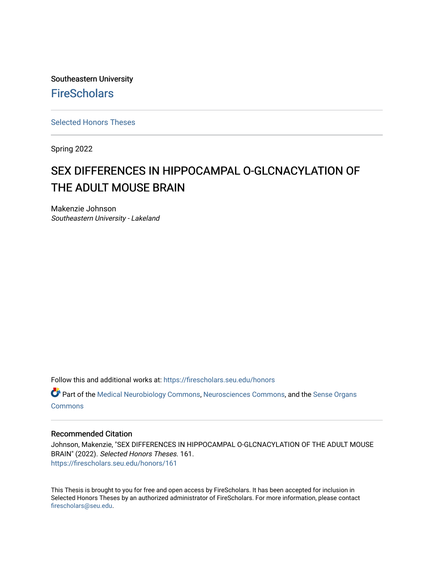Southeastern University **FireScholars** 

[Selected Honors Theses](https://firescholars.seu.edu/honors)

Spring 2022

# SEX DIFFERENCES IN HIPPOCAMPAL O-GLCNACYLATION OF THE ADULT MOUSE BRAIN

Makenzie Johnson Southeastern University - Lakeland

Follow this and additional works at: [https://firescholars.seu.edu/honors](https://firescholars.seu.edu/honors?utm_source=firescholars.seu.edu%2Fhonors%2F161&utm_medium=PDF&utm_campaign=PDFCoverPages)

Part of the [Medical Neurobiology Commons,](https://network.bepress.com/hgg/discipline/674?utm_source=firescholars.seu.edu%2Fhonors%2F161&utm_medium=PDF&utm_campaign=PDFCoverPages) [Neurosciences Commons,](https://network.bepress.com/hgg/discipline/1010?utm_source=firescholars.seu.edu%2Fhonors%2F161&utm_medium=PDF&utm_campaign=PDFCoverPages) and the [Sense Organs](https://network.bepress.com/hgg/discipline/927?utm_source=firescholars.seu.edu%2Fhonors%2F161&utm_medium=PDF&utm_campaign=PDFCoverPages)  **[Commons](https://network.bepress.com/hgg/discipline/927?utm_source=firescholars.seu.edu%2Fhonors%2F161&utm_medium=PDF&utm_campaign=PDFCoverPages)** 

#### Recommended Citation

Johnson, Makenzie, "SEX DIFFERENCES IN HIPPOCAMPAL O-GLCNACYLATION OF THE ADULT MOUSE BRAIN" (2022). Selected Honors Theses. 161. [https://firescholars.seu.edu/honors/161](https://firescholars.seu.edu/honors/161?utm_source=firescholars.seu.edu%2Fhonors%2F161&utm_medium=PDF&utm_campaign=PDFCoverPages)

This Thesis is brought to you for free and open access by FireScholars. It has been accepted for inclusion in Selected Honors Theses by an authorized administrator of FireScholars. For more information, please contact [firescholars@seu.edu.](mailto:firescholars@seu.edu)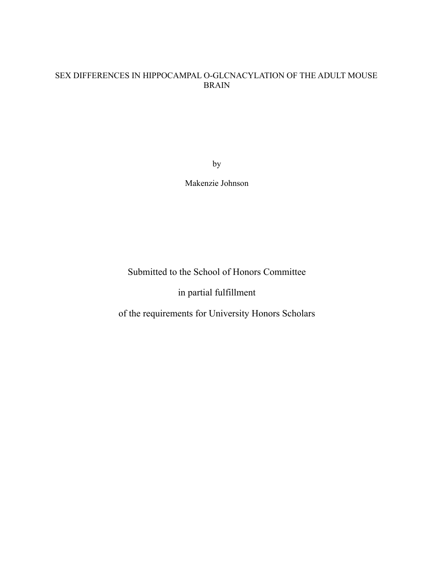### SEX DIFFERENCES IN HIPPOCAMPAL O-GLCNACYLATION OF THE ADULT MOUSE BRAIN

by

Makenzie Johnson

Submitted to the School of Honors Committee

in partial fulfillment

of the requirements for University Honors Scholars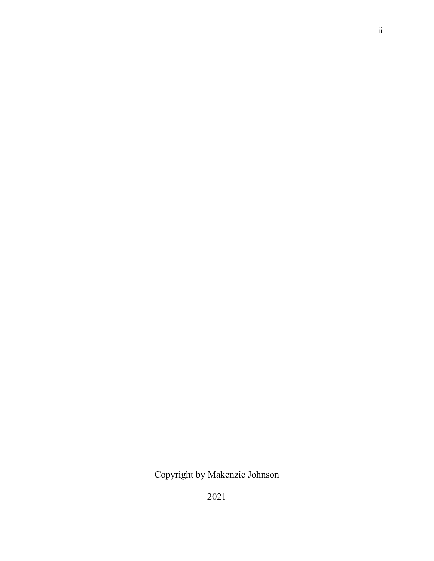# Copyright by Makenzie Johnson

2021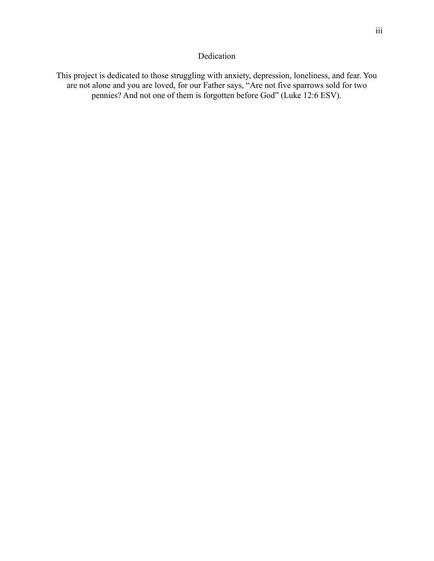### Dedication

This project is dedicated to those struggling with anxiety, depression, loneliness, and fear. You are not alone and you are loved, for our Father says, "Are not five sparrows sold for two pennies? And not one of them is forgotten before God" (Luke 12:6 ESV).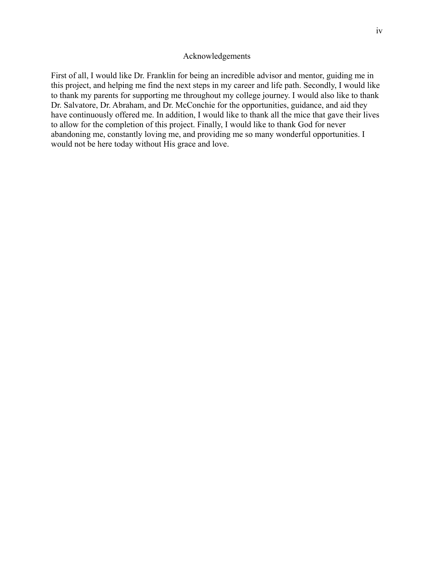#### Acknowledgements

First of all, I would like Dr. Franklin for being an incredible advisor and mentor, guiding me in this project, and helping me find the next steps in my career and life path. Secondly, I would like to thank my parents for supporting me throughout my college journey. I would also like to thank Dr. Salvatore, Dr. Abraham, and Dr. McConchie for the opportunities, guidance, and aid they have continuously offered me. In addition, I would like to thank all the mice that gave their lives to allow for the completion of this project. Finally, I would like to thank God for never abandoning me, constantly loving me, and providing me so many wonderful opportunities. I would not be here today without His grace and love.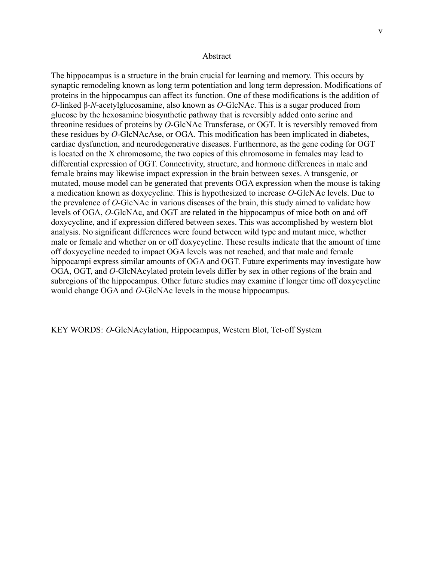The hippocampus is a structure in the brain crucial for learning and memory. This occurs by synaptic remodeling known as long term potentiation and long term depression. Modifications of proteins in the hippocampus can affect its function. One of these modifications is the addition of *O*-linked β-*N*-acetylglucosamine, also known as *O*-GlcNAc. This is a sugar produced from glucose by the hexosamine biosynthetic pathway that is reversibly added onto serine and threonine residues of proteins by *O*-GlcNAc Transferase, or OGT. It is reversibly removed from these residues by *O*-GlcNAcAse, or OGA. This modification has been implicated in diabetes, cardiac dysfunction, and neurodegenerative diseases. Furthermore, as the gene coding for OGT is located on the X chromosome, the two copies of this chromosome in females may lead to differential expression of OGT. Connectivity, structure, and hormone differences in male and female brains may likewise impact expression in the brain between sexes. A transgenic, or mutated, mouse model can be generated that prevents OGA expression when the mouse is taking a medication known as doxycycline. This is hypothesized to increase *O*-GlcNAc levels. Due to the prevalence of *O*-GlcNAc in various diseases of the brain, this study aimed to validate how levels of OGA, *O*-GlcNAc, and OGT are related in the hippocampus of mice both on and off doxycycline, and if expression differed between sexes. This was accomplished by western blot analysis. No significant differences were found between wild type and mutant mice, whether male or female and whether on or off doxycycline. These results indicate that the amount of time off doxycycline needed to impact OGA levels was not reached, and that male and female hippocampi express similar amounts of OGA and OGT. Future experiments may investigate how OGA, OGT, and *O*-GlcNAcylated protein levels differ by sex in other regions of the brain and subregions of the hippocampus. Other future studies may examine if longer time off doxycycline would change OGA and *O*-GlcNAc levels in the mouse hippocampus.

KEY WORDS: *O*-GlcNAcylation, Hippocampus, Western Blot, Tet-off System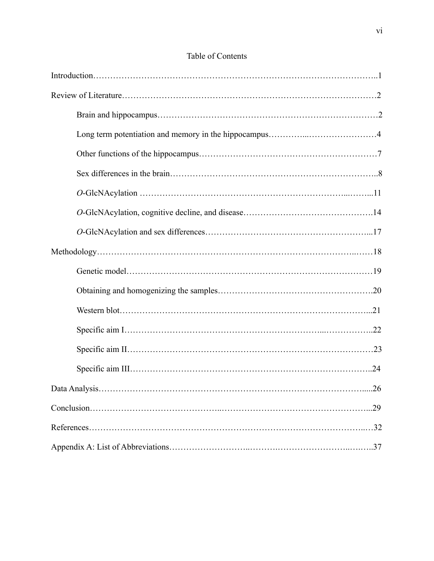| .29 |
|-----|
|     |
|     |

## Table of Contents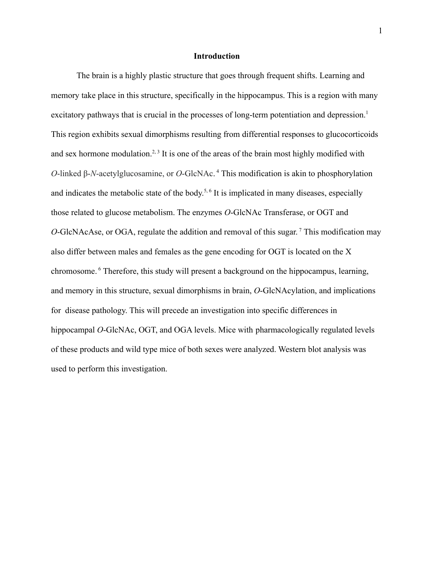#### **Introduction**

The brain is a highly plastic structure that goes through frequent shifts. Learning and memory take place in this structure, specifically in the hippocampus. This is a region with many excitatory pathways that is crucial in the processes of long-term potentiation and depression.<sup>1</sup> This region exhibits sexual dimorphisms resulting from differential responses to glucocorticoids and sex hormone modulation.<sup>2, 3</sup> It is one of the areas of the brain most highly modified with *O*-linked β-*N*-acetylglucosamine, or *O*-GlcNAc. <sup>4</sup> This modification is akin to phosphorylation and indicates the metabolic state of the body.<sup>5,6</sup> It is implicated in many diseases, especially those related to glucose metabolism. The enzymes *O*-GlcNAc Transferase, or OGT and *O*-GlcNAcAse, or OGA, regulate the addition and removal of this sugar. <sup>7</sup> This modification may also differ between males and females as the gene encoding for OGT is located on the X chromosome. <sup>6</sup> Therefore, this study will present a background on the hippocampus, learning, and memory in this structure, sexual dimorphisms in brain, *O*-GlcNAcylation, and implications for disease pathology. This will precede an investigation into specific differences in hippocampal *O*-GlcNAc, OGT, and OGA levels. Mice with pharmacologically regulated levels of these products and wild type mice of both sexes were analyzed. Western blot analysis was used to perform this investigation.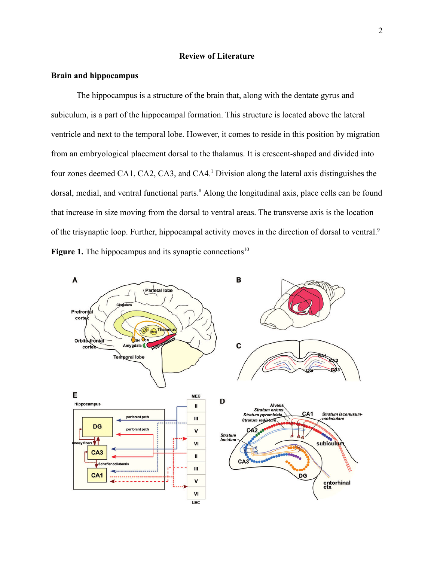#### **Review of Literature**

#### **Brain and hippocampus**

The hippocampus is a structure of the brain that, along with the dentate gyrus and subiculum, is a part of the hippocampal formation. This structure is located above the lateral ventricle and next to the temporal lobe. However, it comes to reside in this position by migration from an embryological placement dorsal to the thalamus. It is crescent-shaped and divided into four zones deemed CA1, CA2, CA3, and CA4.<sup>1</sup> Division along the lateral axis distinguishes the dorsal, medial, and ventral functional parts.<sup>8</sup> Along the longitudinal axis, place cells can be found that increase in size moving from the dorsal to ventral areas. The transverse axis is the location of the trisynaptic loop. Further, hippocampal activity moves in the direction of dorsal to ventral.<sup>9</sup> **Figure 1.** The hippocampus and its synaptic connections<sup>10</sup>

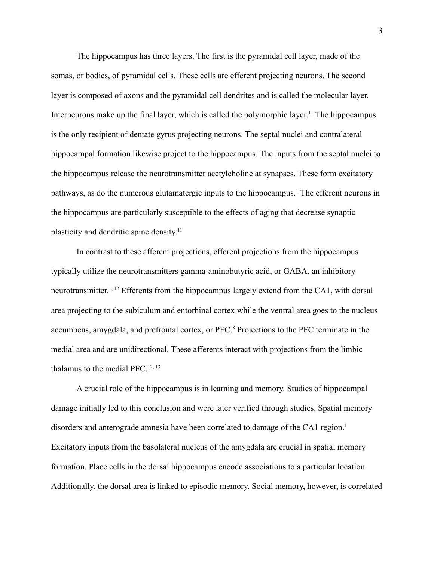The hippocampus has three layers. The first is the pyramidal cell layer, made of the somas, or bodies, of pyramidal cells. These cells are efferent projecting neurons. The second layer is composed of axons and the pyramidal cell dendrites and is called the molecular layer. Interneurons make up the final layer, which is called the polymorphic layer.<sup>11</sup> The hippocampus is the only recipient of dentate gyrus projecting neurons. The septal nuclei and contralateral hippocampal formation likewise project to the hippocampus. The inputs from the septal nuclei to the hippocampus release the neurotransmitter acetylcholine at synapses. These form excitatory pathways, as do the numerous glutamatergic inputs to the hippocampus.<sup>1</sup> The efferent neurons in the hippocampus are particularly susceptible to the effects of aging that decrease synaptic plasticity and dendritic spine density.<sup>11</sup>

In contrast to these afferent projections, efferent projections from the hippocampus typically utilize the neurotransmitters gamma-aminobutyric acid, or GABA, an inhibitory neurotransmitter.<sup>1, 12</sup> Efferents from the hippocampus largely extend from the CA1, with dorsal area projecting to the subiculum and entorhinal cortex while the ventral area goes to the nucleus accumbens, amygdala, and prefrontal cortex, or PFC.<sup>8</sup> Projections to the PFC terminate in the medial area and are unidirectional. These afferents interact with projections from the limbic thalamus to the medial PFC.12, <sup>13</sup>

A crucial role of the hippocampus is in learning and memory. Studies of hippocampal damage initially led to this conclusion and were later verified through studies. Spatial memory disorders and anterograde amnesia have been correlated to damage of the CA1 region.<sup>1</sup> Excitatory inputs from the basolateral nucleus of the amygdala are crucial in spatial memory formation. Place cells in the dorsal hippocampus encode associations to a particular location. Additionally, the dorsal area is linked to episodic memory. Social memory, however, is correlated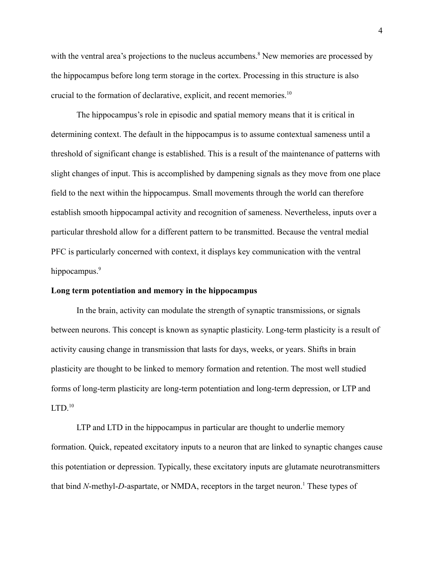with the ventral area's projections to the nucleus accumbens.<sup>8</sup> New memories are processed by the hippocampus before long term storage in the cortex. Processing in this structure is also crucial to the formation of declarative, explicit, and recent memories.<sup>10</sup>

The hippocampus's role in episodic and spatial memory means that it is critical in determining context. The default in the hippocampus is to assume contextual sameness until a threshold of significant change is established. This is a result of the maintenance of patterns with slight changes of input. This is accomplished by dampening signals as they move from one place field to the next within the hippocampus. Small movements through the world can therefore establish smooth hippocampal activity and recognition of sameness. Nevertheless, inputs over a particular threshold allow for a different pattern to be transmitted. Because the ventral medial PFC is particularly concerned with context, it displays key communication with the ventral hippocampus.<sup>9</sup>

#### **Long term potentiation and memory in the hippocampus**

In the brain, activity can modulate the strength of synaptic transmissions, or signals between neurons. This concept is known as synaptic plasticity. Long-term plasticity is a result of activity causing change in transmission that lasts for days, weeks, or years. Shifts in brain plasticity are thought to be linked to memory formation and retention. The most well studied forms of long-term plasticity are long-term potentiation and long-term depression, or LTP and  $LTD<sup>10</sup>$ 

LTP and LTD in the hippocampus in particular are thought to underlie memory formation. Quick, repeated excitatory inputs to a neuron that are linked to synaptic changes cause this potentiation or depression. Typically, these excitatory inputs are glutamate neurotransmitters that bind *N*-methyl-*D*-aspartate, or NMDA, receptors in the target neuron.<sup>1</sup> These types of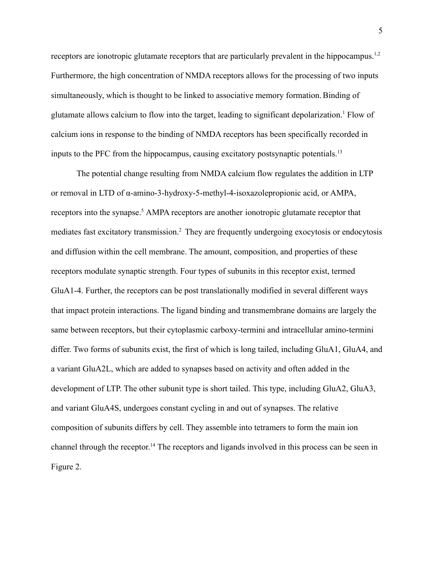receptors are ionotropic glutamate receptors that are particularly prevalent in the hippocampus.<sup>1,2</sup> Furthermore, the high concentration of NMDA receptors allows for the processing of two inputs simultaneously, which is thought to be linked to associative memory formation. Binding of glutamate allows calcium to flow into the target, leading to significant depolarization.<sup>1</sup> Flow of calcium ions in response to the binding of NMDA receptors has been specifically recorded in inputs to the PFC from the hippocampus, causing excitatory postsynaptic potentials.<sup>13</sup>

The potential change resulting from NMDA calcium flow regulates the addition in LTP or removal in LTD of α-amino-3-hydroxy-5-methyl-4-isoxazolepropionic acid, or AMPA, receptors into the synapse.<sup>5</sup> AMPA receptors are another ionotropic glutamate receptor that mediates fast excitatory transmission.<sup>2</sup> They are frequently undergoing exocytosis or endocytosis and diffusion within the cell membrane. The amount, composition, and properties of these receptors modulate synaptic strength. Four types of subunits in this receptor exist, termed GluA1-4. Further, the receptors can be post translationally modified in several different ways that impact protein interactions. The ligand binding and transmembrane domains are largely the same between receptors, but their cytoplasmic carboxy-termini and intracellular amino-termini differ. Two forms of subunits exist, the first of which is long tailed, including GluA1, GluA4, and a variant GluA2L, which are added to synapses based on activity and often added in the development of LTP. The other subunit type is short tailed. This type, including GluA2, GluA3, and variant GluA4S, undergoes constant cycling in and out of synapses. The relative composition of subunits differs by cell. They assemble into tetramers to form the main ion channel through the receptor. <sup>14</sup> The receptors and ligands involved in this process can be seen in Figure 2.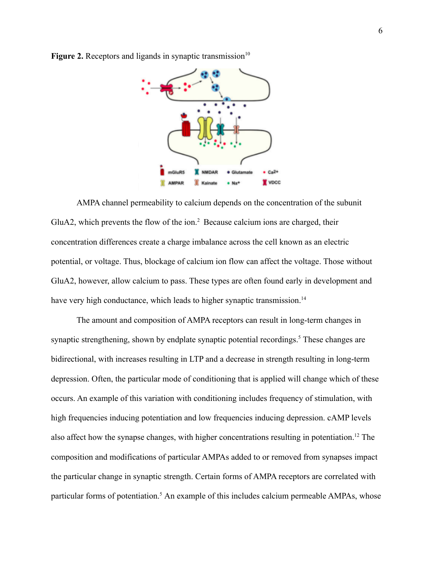

**Figure 2.** Receptors and ligands in synaptic transmission<sup>10</sup>

AMPA channel permeability to calcium depends on the concentration of the subunit GluA2, which prevents the flow of the ion.<sup>2</sup> Because calcium ions are charged, their concentration differences create a charge imbalance across the cell known as an electric potential, or voltage. Thus, blockage of calcium ion flow can affect the voltage. Those without GluA2, however, allow calcium to pass. These types are often found early in development and have very high conductance, which leads to higher synaptic transmission.<sup>14</sup>

The amount and composition of AMPA receptors can result in long-term changes in synaptic strengthening, shown by endplate synaptic potential recordings.<sup>5</sup> These changes are bidirectional, with increases resulting in LTP and a decrease in strength resulting in long-term depression. Often, the particular mode of conditioning that is applied will change which of these occurs. An example of this variation with conditioning includes frequency of stimulation, with high frequencies inducing potentiation and low frequencies inducing depression. cAMP levels also affect how the synapse changes, with higher concentrations resulting in potentiation.<sup>12</sup> The composition and modifications of particular AMPAs added to or removed from synapses impact the particular change in synaptic strength. Certain forms of AMPA receptors are correlated with particular forms of potentiation.<sup>5</sup> An example of this includes calcium permeable AMPAs, whose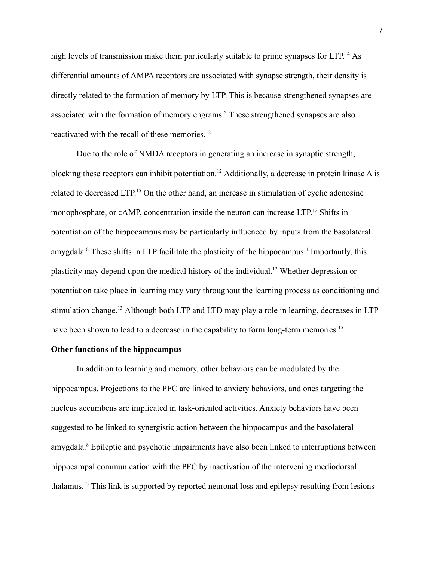high levels of transmission make them particularly suitable to prime synapses for LTP.<sup>14</sup> As differential amounts of AMPA receptors are associated with synapse strength, their density is directly related to the formation of memory by LTP. This is because strengthened synapses are associated with the formation of memory engrams.<sup>5</sup> These strengthened synapses are also reactivated with the recall of these memories.<sup>12</sup>

Due to the role of NMDA receptors in generating an increase in synaptic strength, blocking these receptors can inhibit potentiation.<sup>12</sup> Additionally, a decrease in protein kinase A is related to decreased LTP.<sup>15</sup> On the other hand, an increase in stimulation of cyclic adenosine monophosphate, or cAMP, concentration inside the neuron can increase LTP.<sup>12</sup> Shifts in potentiation of the hippocampus may be particularly influenced by inputs from the basolateral amygdala.<sup>8</sup> These shifts in LTP facilitate the plasticity of the hippocampus.<sup>1</sup> Importantly, this plasticity may depend upon the medical history of the individual.<sup>12</sup> Whether depression or potentiation take place in learning may vary throughout the learning process as conditioning and stimulation change.<sup>13</sup> Although both LTP and LTD may play a role in learning, decreases in LTP have been shown to lead to a decrease in the capability to form long-term memories.<sup>15</sup>

#### **Other functions of the hippocampus**

In addition to learning and memory, other behaviors can be modulated by the hippocampus. Projections to the PFC are linked to anxiety behaviors, and ones targeting the nucleus accumbens are implicated in task-oriented activities. Anxiety behaviors have been suggested to be linked to synergistic action between the hippocampus and the basolateral amygdala.<sup>8</sup> Epileptic and psychotic impairments have also been linked to interruptions between hippocampal communication with the PFC by inactivation of the intervening mediodorsal thalamus.<sup>13</sup> This link is supported by reported neuronal loss and epilepsy resulting from lesions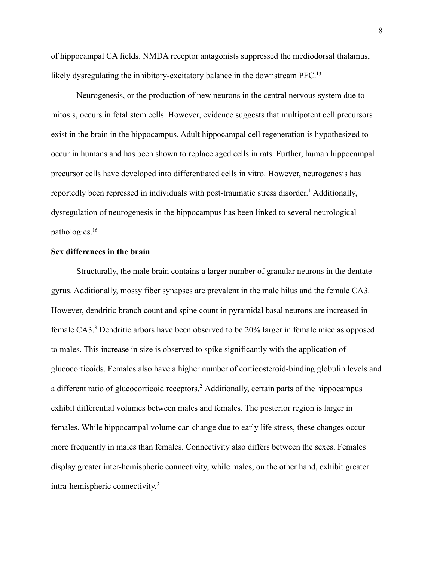of hippocampal CA fields. NMDA receptor antagonists suppressed the mediodorsal thalamus, likely dysregulating the inhibitory-excitatory balance in the downstream PFC.<sup>13</sup>

Neurogenesis, or the production of new neurons in the central nervous system due to mitosis, occurs in fetal stem cells. However, evidence suggests that multipotent cell precursors exist in the brain in the hippocampus. Adult hippocampal cell regeneration is hypothesized to occur in humans and has been shown to replace aged cells in rats. Further, human hippocampal precursor cells have developed into differentiated cells in vitro. However, neurogenesis has reportedly been repressed in individuals with post-traumatic stress disorder. <sup>1</sup> Additionally, dysregulation of neurogenesis in the hippocampus has been linked to several neurological pathologies.<sup>16</sup>

#### **Sex differences in the brain**

Structurally, the male brain contains a larger number of granular neurons in the dentate gyrus. Additionally, mossy fiber synapses are prevalent in the male hilus and the female CA3. However, dendritic branch count and spine count in pyramidal basal neurons are increased in female CA3.<sup>3</sup> Dendritic arbors have been observed to be 20% larger in female mice as opposed to males. This increase in size is observed to spike significantly with the application of glucocorticoids. Females also have a higher number of corticosteroid-binding globulin levels and a different ratio of glucocorticoid receptors.<sup>2</sup> Additionally, certain parts of the hippocampus exhibit differential volumes between males and females. The posterior region is larger in females. While hippocampal volume can change due to early life stress, these changes occur more frequently in males than females. Connectivity also differs between the sexes. Females display greater inter-hemispheric connectivity, while males, on the other hand, exhibit greater intra-hemispheric connectivity. 3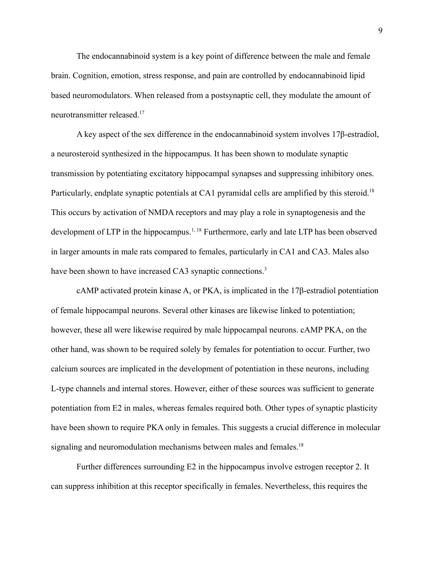The endocannabinoid system is a key point of difference between the male and female brain. Cognition, emotion, stress response, and pain are controlled by endocannabinoid lipid based neuromodulators. When released from a postsynaptic cell, they modulate the amount of neurotransmitter released.<sup>17</sup>

A key aspect of the sex difference in the endocannabinoid system involves 17β-estradiol, a neurosteroid synthesized in the hippocampus. It has been shown to modulate synaptic transmission by potentiating excitatory hippocampal synapses and suppressing inhibitory ones. Particularly, endplate synaptic potentials at CA1 pyramidal cells are amplified by this steroid.<sup>18</sup> This occurs by activation of NMDA receptors and may play a role in synaptogenesis and the development of LTP in the hippocampus.<sup>1, 18</sup> Furthermore, early and late LTP has been observed in larger amounts in male rats compared to females, particularly in CA1 and CA3. Males also have been shown to have increased CA3 synaptic connections.<sup>3</sup>

cAMP activated protein kinase A, or PKA, is implicated in the 17β-estradiol potentiation of female hippocampal neurons. Several other kinases are likewise linked to potentiation; however, these all were likewise required by male hippocampal neurons. cAMP PKA, on the other hand, was shown to be required solely by females for potentiation to occur. Further, two calcium sources are implicated in the development of potentiation in these neurons, including L-type channels and internal stores. However, either of these sources was sufficient to generate potentiation from E2 in males, whereas females required both. Other types of synaptic plasticity have been shown to require PKA only in females. This suggests a crucial difference in molecular signaling and neuromodulation mechanisms between males and females.<sup>18</sup>

Further differences surrounding E2 in the hippocampus involve estrogen receptor 2. It can suppress inhibition at this receptor specifically in females. Nevertheless, this requires the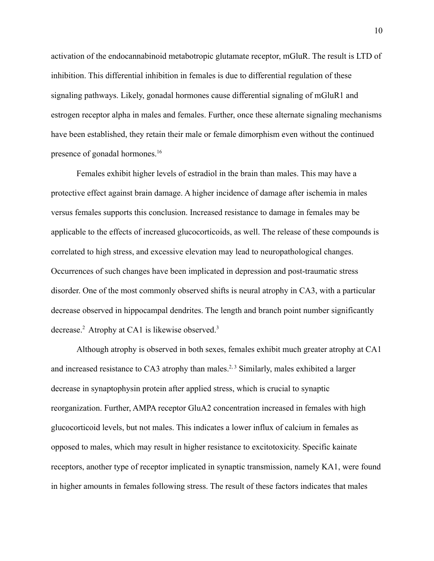activation of the endocannabinoid metabotropic glutamate receptor, mGluR. The result is LTD of inhibition. This differential inhibition in females is due to differential regulation of these signaling pathways. Likely, gonadal hormones cause differential signaling of mGluR1 and estrogen receptor alpha in males and females. Further, once these alternate signaling mechanisms have been established, they retain their male or female dimorphism even without the continued presence of gonadal hormones.<sup>16</sup>

Females exhibit higher levels of estradiol in the brain than males. This may have a protective effect against brain damage. A higher incidence of damage after ischemia in males versus females supports this conclusion. Increased resistance to damage in females may be applicable to the effects of increased glucocorticoids, as well. The release of these compounds is correlated to high stress, and excessive elevation may lead to neuropathological changes. Occurrences of such changes have been implicated in depression and post-traumatic stress disorder. One of the most commonly observed shifts is neural atrophy in CA3, with a particular decrease observed in hippocampal dendrites. The length and branch point number significantly decrease.<sup>2</sup> Atrophy at CA1 is likewise observed.<sup>3</sup>

Although atrophy is observed in both sexes, females exhibit much greater atrophy at CA1 and increased resistance to CA3 atrophy than males.<sup>2, 3</sup> Similarly, males exhibited a larger decrease in synaptophysin protein after applied stress, which is crucial to synaptic reorganization. Further, AMPA receptor GluA2 concentration increased in females with high glucocorticoid levels, but not males. This indicates a lower influx of calcium in females as opposed to males, which may result in higher resistance to excitotoxicity. Specific kainate receptors, another type of receptor implicated in synaptic transmission, namely KA1, were found in higher amounts in females following stress. The result of these factors indicates that males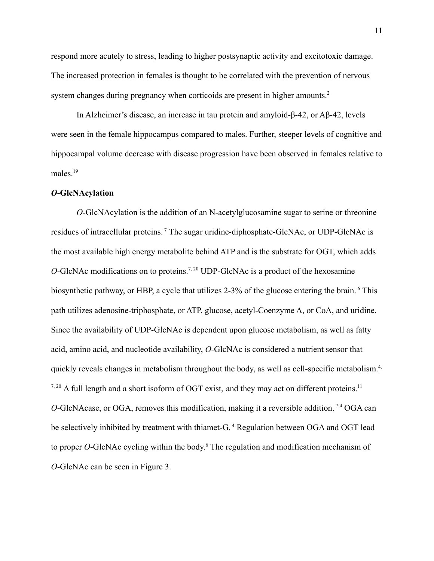respond more acutely to stress, leading to higher postsynaptic activity and excitotoxic damage. The increased protection in females is thought to be correlated with the prevention of nervous system changes during pregnancy when corticoids are present in higher amounts.<sup>2</sup>

In Alzheimer's disease, an increase in tau protein and amyloid-β-42, or Aβ-42, levels were seen in the female hippocampus compared to males. Further, steeper levels of cognitive and hippocampal volume decrease with disease progression have been observed in females relative to males.<sup>19</sup>

#### *O***-GlcNAcylation**

*O*-GlcNAcylation is the addition of an N-acetylglucosamine sugar to serine or threonine residues of intracellular proteins.<sup>7</sup> The sugar uridine-diphosphate-GlcNAc, or UDP-GlcNAc is the most available high energy metabolite behind ATP and is the substrate for OGT, which adds *O*-GlcNAc modifications on to proteins.<sup>7, 20</sup> UDP-GlcNAc is a product of the hexosamine biosynthetic pathway, or HBP, a cycle that utilizes 2-3% of the glucose entering the brain. <sup>6</sup> This path utilizes adenosine-triphosphate, or ATP, glucose, acetyl-Coenzyme A, or CoA, and uridine. Since the availability of UDP-GlcNAc is dependent upon glucose metabolism, as well as fatty acid, amino acid, and nucleotide availability, *O*-GlcNAc is considered a nutrient sensor that quickly reveals changes in metabolism throughout the body, as well as cell-specific metabolism.<sup>4,</sup>  $7,20$  A full length and a short isoform of OGT exist, and they may act on different proteins.<sup>11</sup> *O*-GlcNAcase, or OGA, removes this modification, making it a reversible addition.<sup>7,4</sup> OGA can be selectively inhibited by treatment with thiamet-G.<sup>4</sup> Regulation between OGA and OGT lead to proper *O*-GlcNAc cycling within the body. <sup>6</sup> The regulation and modification mechanism of *O*-GlcNAc can be seen in Figure 3.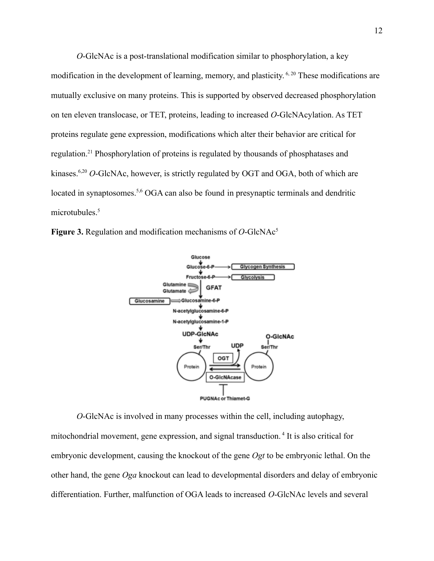*O*-GlcNAc is a post-translational modification similar to phosphorylation, a key modification in the development of learning, memory, and plasticity.<sup>6, 20</sup> These modifications are mutually exclusive on many proteins. This is supported by observed decreased phosphorylation on ten eleven translocase, or TET, proteins, leading to increased *O*-GlcNAcylation. As TET proteins regulate gene expression, modifications which alter their behavior are critical for regulation.<sup>21</sup> Phosphorylation of proteins is regulated by thousands of phosphatases and kinases.<sup>6,20</sup> *O*-GlcNAc, however, is strictly regulated by OGT and OGA, both of which are located in synaptosomes.<sup>5,6</sup> OGA can also be found in presynaptic terminals and dendritic microtubules.<sup>5</sup>





*O*-GlcNAc is involved in many processes within the cell, including autophagy, mitochondrial movement, gene expression, and signal transduction. <sup>4</sup> It is also critical for embryonic development, causing the knockout of the gene *Ogt* to be embryonic lethal. On the other hand, the gene *Oga* knockout can lead to developmental disorders and delay of embryonic differentiation. Further, malfunction of OGA leads to increased *O*-GlcNAc levels and several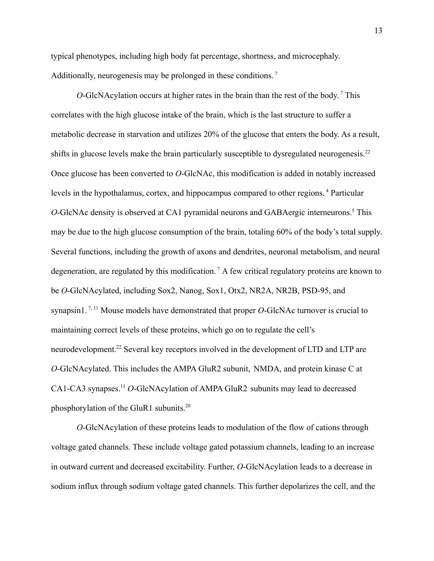typical phenotypes, including high body fat percentage, shortness, and microcephaly. Additionally, neurogenesis may be prolonged in these conditions.<sup>7</sup>

*O*-GlcNAcylation occurs at higher rates in the brain than the rest of the body. <sup>7</sup> This correlates with the high glucose intake of the brain, which is the last structure to suffer a metabolic decrease in starvation and utilizes 20% of the glucose that enters the body. As a result, shifts in glucose levels make the brain particularly susceptible to dysregulated neurogenesis.<sup>22</sup> Once glucose has been converted to *O*-GlcNAc, this modification is added in notably increased levels in the hypothalamus, cortex, and hippocampus compared to other regions. <sup>4</sup> Particular *O*-GlcNAc density is observed at CA1 pyramidal neurons and GABAergic interneurons.<sup>5</sup> This may be due to the high glucose consumption of the brain, totaling 60% of the body's total supply. Several functions, including the growth of axons and dendrites, neuronal metabolism, and neural degeneration, are regulated by this modification. <sup>7</sup> A few critical regulatory proteins are known to be *O*-GlcNAcylated, including Sox2, Nanog, Sox1, Otx2, NR2A, NR2B, PSD-95, and synapsin1.<sup>7, 11</sup> Mouse models have demonstrated that proper *O*-GlcNAc turnover is crucial to maintaining correct levels of these proteins, which go on to regulate the cell's neurodevelopment.<sup>22</sup> Several key receptors involved in the development of LTD and LTP are *O*-GlcNAcylated. This includes the AMPA GluR2 subunit, NMDA, and protein kinase C at CA1-CA3 synapses.<sup>11</sup> *O*-GlcNAcylation of AMPA GluR2 subunits may lead to decreased phosphorylation of the GluR1 subunits.<sup>20</sup>

*O*-GlcNAcylation of these proteins leads to modulation of the flow of cations through voltage gated channels. These include voltage gated potassium channels, leading to an increase in outward current and decreased excitability. Further, *O*-GlcNAcylation leads to a decrease in sodium influx through sodium voltage gated channels. This further depolarizes the cell, and the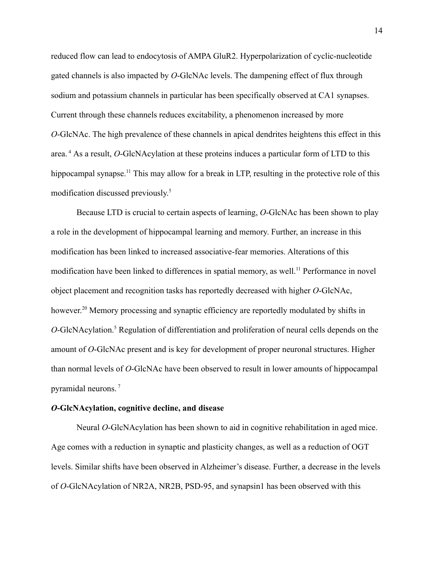reduced flow can lead to endocytosis of AMPA GluR2. Hyperpolarization of cyclic-nucleotide gated channels is also impacted by *O*-GlcNAc levels. The dampening effect of flux through sodium and potassium channels in particular has been specifically observed at CA1 synapses. Current through these channels reduces excitability, a phenomenon increased by more *O*-GlcNAc. The high prevalence of these channels in apical dendrites heightens this effect in this area. <sup>4</sup> As a result, *O*-GlcNAcylation at these proteins induces a particular form of LTD to this hippocampal synapse.<sup>11</sup> This may allow for a break in LTP, resulting in the protective role of this modification discussed previously. 5

Because LTD is crucial to certain aspects of learning, *O*-GlcNAc has been shown to play a role in the development of hippocampal learning and memory. Further, an increase in this modification has been linked to increased associative-fear memories. Alterations of this modification have been linked to differences in spatial memory, as well.<sup>11</sup> Performance in novel object placement and recognition tasks has reportedly decreased with higher *O*-GlcNAc, however.<sup>20</sup> Memory processing and synaptic efficiency are reportedly modulated by shifts in *O*-GlcNAcylation.<sup>5</sup> Regulation of differentiation and proliferation of neural cells depends on the amount of *O*-GlcNAc present and is key for development of proper neuronal structures. Higher than normal levels of *O*-GlcNAc have been observed to result in lower amounts of hippocampal pyramidal neurons. <sup>7</sup>

#### *O***-GlcNAcylation, cognitive decline, and disease**

Neural *O*-GlcNAcylation has been shown to aid in cognitive rehabilitation in aged mice. Age comes with a reduction in synaptic and plasticity changes, as well as a reduction of OGT levels. Similar shifts have been observed in Alzheimer's disease. Further, a decrease in the levels of *O*-GlcNAcylation of NR2A, NR2B, PSD-95, and synapsin1 has been observed with this

14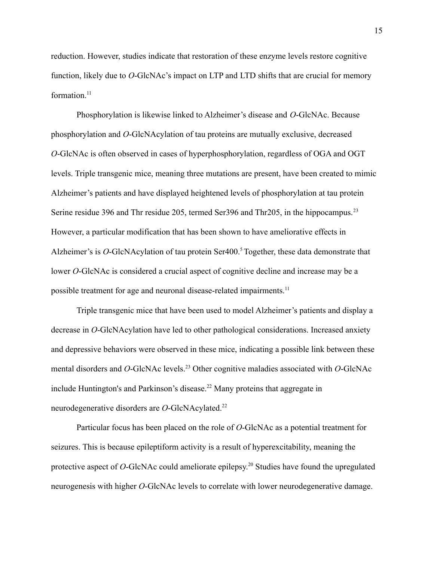reduction. However, studies indicate that restoration of these enzyme levels restore cognitive function, likely due to *O*-GlcNAc's impact on LTP and LTD shifts that are crucial for memory formation.<sup>11</sup>

Phosphorylation is likewise linked to Alzheimer's disease and *O*-GlcNAc. Because phosphorylation and *O*-GlcNAcylation of tau proteins are mutually exclusive, decreased *O*-GlcNAc is often observed in cases of hyperphosphorylation, regardless of OGA and OGT levels. Triple transgenic mice, meaning three mutations are present, have been created to mimic Alzheimer's patients and have displayed heightened levels of phosphorylation at tau protein Serine residue 396 and Thr residue 205, termed Ser396 and Thr205, in the hippocampus.<sup>23</sup> However, a particular modification that has been shown to have ameliorative effects in Alzheimer's is *O*-GlcNAcylation of tau protein Ser400.<sup>5</sup> Together, these data demonstrate that lower *O*-GlcNAc is considered a crucial aspect of cognitive decline and increase may be a possible treatment for age and neuronal disease-related impairments.<sup>11</sup>

Triple transgenic mice that have been used to model Alzheimer's patients and display a decrease in *O*-GlcNAcylation have led to other pathological considerations. Increased anxiety and depressive behaviors were observed in these mice, indicating a possible link between these mental disorders and *O*-GlcNAc levels.<sup>23</sup> Other cognitive maladies associated with *O*-GlcNAc include Huntington's and Parkinson's disease.<sup>22</sup> Many proteins that aggregate in neurodegenerative disorders are *O*-GlcNAcylated.<sup>22</sup>

Particular focus has been placed on the role of *O*-GlcNAc as a potential treatment for seizures. This is because epileptiform activity is a result of hyperexcitability, meaning the protective aspect of *O*-GlcNAc could ameliorate epilepsy. <sup>20</sup> Studies have found the upregulated neurogenesis with higher *O*-GlcNAc levels to correlate with lower neurodegenerative damage.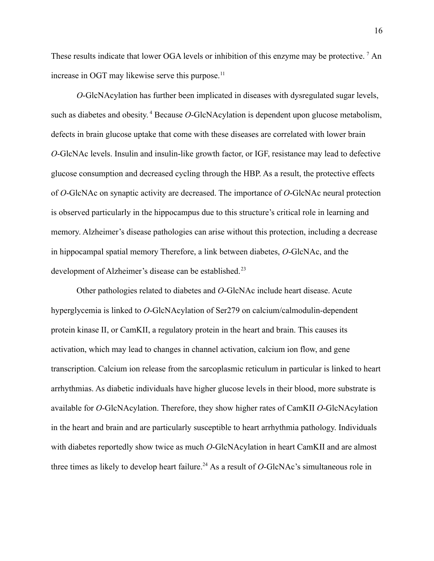These results indicate that lower OGA levels or inhibition of this enzyme may be protective.<sup>7</sup> An increase in OGT may likewise serve this purpose. $<sup>11</sup>$ </sup>

*O*-GlcNAcylation has further been implicated in diseases with dysregulated sugar levels, such as diabetes and obesity. <sup>4</sup> Because *O*-GlcNAcylation is dependent upon glucose metabolism, defects in brain glucose uptake that come with these diseases are correlated with lower brain *O*-GlcNAc levels. Insulin and insulin-like growth factor, or IGF, resistance may lead to defective glucose consumption and decreased cycling through the HBP. As a result, the protective effects of *O*-GlcNAc on synaptic activity are decreased. The importance of *O*-GlcNAc neural protection is observed particularly in the hippocampus due to this structure's critical role in learning and memory. Alzheimer's disease pathologies can arise without this protection, including a decrease in hippocampal spatial memory Therefore, a link between diabetes, *O*-GlcNAc, and the development of Alzheimer's disease can be established.<sup>23</sup>

Other pathologies related to diabetes and *O*-GlcNAc include heart disease. Acute hyperglycemia is linked to *O*-GlcNAcylation of Ser279 on calcium/calmodulin-dependent protein kinase II, or CamKII, a regulatory protein in the heart and brain. This causes its activation, which may lead to changes in channel activation, calcium ion flow, and gene transcription. Calcium ion release from the sarcoplasmic reticulum in particular is linked to heart arrhythmias. As diabetic individuals have higher glucose levels in their blood, more substrate is available for *O*-GlcNAcylation. Therefore, they show higher rates of CamKII *O*-GlcNAcylation in the heart and brain and are particularly susceptible to heart arrhythmia pathology. Individuals with diabetes reportedly show twice as much *O*-GlcNAcylation in heart CamKII and are almost three times as likely to develop heart failure.<sup>24</sup> As a result of  $O$ -GlcNAc's simultaneous role in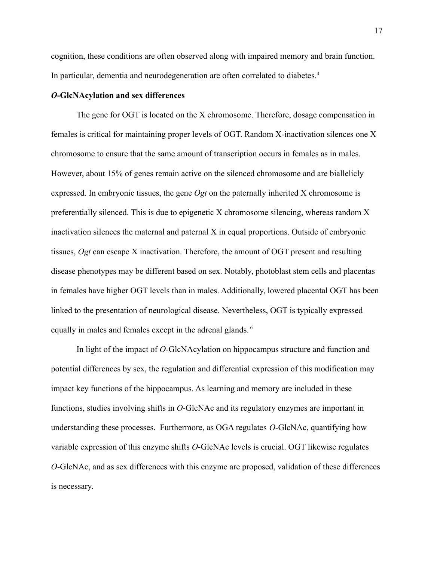cognition, these conditions are often observed along with impaired memory and brain function. In particular, dementia and neurodegeneration are often correlated to diabetes.<sup>4</sup>

#### *O***-GlcNAcylation and sex differences**

The gene for OGT is located on the X chromosome. Therefore, dosage compensation in females is critical for maintaining proper levels of OGT. Random X-inactivation silences one X chromosome to ensure that the same amount of transcription occurs in females as in males. However, about 15% of genes remain active on the silenced chromosome and are biallelicly expressed. In embryonic tissues, the gene *Ogt* on the paternally inherited X chromosome is preferentially silenced. This is due to epigenetic X chromosome silencing, whereas random X inactivation silences the maternal and paternal X in equal proportions. Outside of embryonic tissues, *Ogt* can escape X inactivation. Therefore, the amount of OGT present and resulting disease phenotypes may be different based on sex. Notably, photoblast stem cells and placentas in females have higher OGT levels than in males. Additionally, lowered placental OGT has been linked to the presentation of neurological disease. Nevertheless, OGT is typically expressed equally in males and females except in the adrenal glands. <sup>6</sup>

In light of the impact of *O*-GlcNAcylation on hippocampus structure and function and potential differences by sex, the regulation and differential expression of this modification may impact key functions of the hippocampus. As learning and memory are included in these functions, studies involving shifts in *O*-GlcNAc and its regulatory enzymes are important in understanding these processes. Furthermore, as OGA regulates *O*-GlcNAc, quantifying how variable expression of this enzyme shifts *O*-GlcNAc levels is crucial. OGT likewise regulates *O*-GlcNAc, and as sex differences with this enzyme are proposed, validation of these differences is necessary.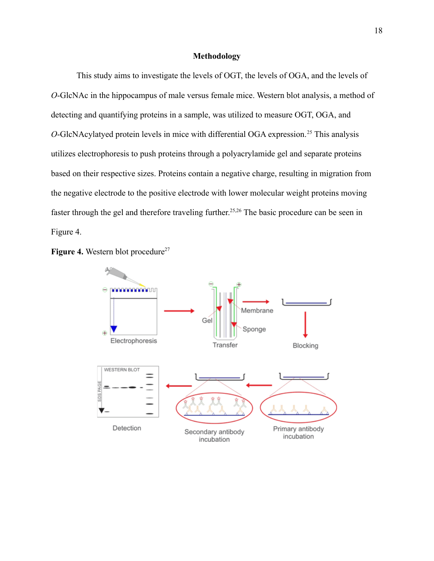#### **Methodology**

This study aims to investigate the levels of OGT, the levels of OGA, and the levels of *O*-GlcNAc in the hippocampus of male versus female mice. Western blot analysis, a method of detecting and quantifying proteins in a sample, was utilized to measure OGT, OGA, and *O*-GlcNAcylatyed protein levels in mice with differential OGA expression.<sup>25</sup> This analysis utilizes electrophoresis to push proteins through a polyacrylamide gel and separate proteins based on their respective sizes. Proteins contain a negative charge, resulting in migration from the negative electrode to the positive electrode with lower molecular weight proteins moving faster through the gel and therefore traveling further.<sup>25,26</sup> The basic procedure can be seen in Figure 4.



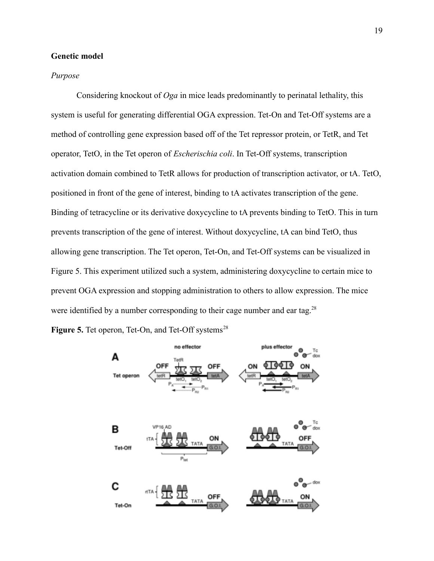#### **Genetic model**

#### *Purpose*

Considering knockout of *Oga* in mice leads predominantly to perinatal lethality, this system is useful for generating differential OGA expression. Tet-On and Tet-Off systems are a method of controlling gene expression based off of the Tet repressor protein, or TetR, and Tet operator, TetO, in the Tet operon of *Escherischia coli*. In Tet-Off systems, transcription activation domain combined to TetR allows for production of transcription activator, or tA. TetO, positioned in front of the gene of interest, binding to tA activates transcription of the gene. Binding of tetracycline or its derivative doxycycline to tA prevents binding to TetO. This in turn prevents transcription of the gene of interest. Without doxycycline, tA can bind TetO, thus allowing gene transcription. The Tet operon, Tet-On, and Tet-Off systems can be visualized in Figure 5. This experiment utilized such a system, administering doxycycline to certain mice to prevent OGA expression and stopping administration to others to allow expression. The mice were identified by a number corresponding to their cage number and ear tag.<sup>28</sup>

**Figure 5.** Tet operon, Tet-On, and Tet-Off systems<sup>28</sup>

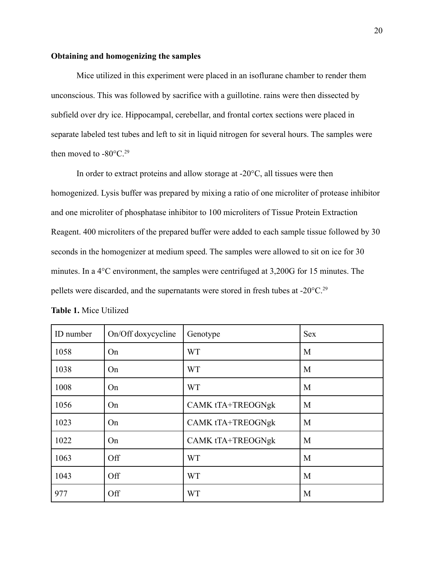#### **Obtaining and homogenizing the samples**

Mice utilized in this experiment were placed in an isoflurane chamber to render them unconscious. This was followed by sacrifice with a guillotine. rains were then dissected by subfield over dry ice. Hippocampal, cerebellar, and frontal cortex sections were placed in separate labeled test tubes and left to sit in liquid nitrogen for several hours. The samples were then moved to  $-80^{\circ}$ C.<sup>29</sup>

In order to extract proteins and allow storage at  $-20^{\circ}$ C, all tissues were then homogenized. Lysis buffer was prepared by mixing a ratio of one microliter of protease inhibitor and one microliter of phosphatase inhibitor to 100 microliters of Tissue Protein Extraction Reagent. 400 microliters of the prepared buffer were added to each sample tissue followed by 30 seconds in the homogenizer at medium speed. The samples were allowed to sit on ice for 30 minutes. In a 4°C environment, the samples were centrifuged at 3,200G for 15 minutes. The pellets were discarded, and the supernatants were stored in fresh tubes at -20°C.<sup>29</sup>

| ID number | On/Off doxycycline | Genotype                 | <b>Sex</b> |
|-----------|--------------------|--------------------------|------------|
| 1058      | On                 | <b>WT</b>                | M          |
| 1038      | On                 | <b>WT</b>                | M          |
| 1008      | On                 | <b>WT</b>                | M          |
| 1056      | On                 | CAMK tTA+TREOGNgk        | M          |
| 1023      | On                 | CAMK tTA+TREOGNgk        | M          |
| 1022      | On                 | <b>CAMK tTA+TREOGNgk</b> | M          |
| 1063      | Off                | <b>WT</b>                | M          |
| 1043      | Off                | <b>WT</b>                | M          |
| 977       | Off                | <b>WT</b>                | M          |

|  |  | Table 1. Mice Utilized |  |
|--|--|------------------------|--|
|--|--|------------------------|--|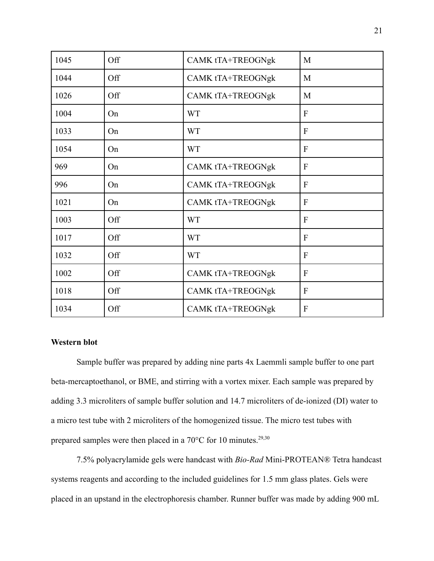| 1045 | Off | CAMK tTA+TREOGNgk        | M              |
|------|-----|--------------------------|----------------|
| 1044 | Off | CAMK tTA+TREOGNgk        | M              |
| 1026 | Off | CAMK tTA+TREOGNgk        | M              |
| 1004 | On  | <b>WT</b>                | $\mathbf{F}$   |
| 1033 | On  | <b>WT</b>                | $\overline{F}$ |
| 1054 | On  | <b>WT</b>                | $\overline{F}$ |
| 969  | On  | <b>CAMK tTA+TREOGNgk</b> | $\mathbf{F}$   |
| 996  | On  | <b>CAMK tTA+TREOGNgk</b> | F              |
| 1021 | On  | <b>CAMK tTA+TREOGNgk</b> | F              |
| 1003 | Off | <b>WT</b>                | F              |
| 1017 | Off | <b>WT</b>                | $\mathbf{F}$   |
| 1032 | Off | <b>WT</b>                | F              |
| 1002 | Off | <b>CAMK tTA+TREOGNgk</b> | F              |
| 1018 | Off | <b>CAMK tTA+TREOGNgk</b> | F              |
| 1034 | Off | <b>CAMK tTA+TREOGNgk</b> | F              |

#### **Western blot**

Sample buffer was prepared by adding nine parts 4x Laemmli sample buffer to one part beta-mercaptoethanol, or BME, and stirring with a vortex mixer. Each sample was prepared by adding 3.3 microliters of sample buffer solution and 14.7 microliters of de-ionized (DI) water to a micro test tube with 2 microliters of the homogenized tissue. The micro test tubes with prepared samples were then placed in a  $70^{\circ}$ C for 10 minutes.<sup>29,30</sup>

7.5% polyacrylamide gels were handcast with *Bio-Rad* Mini-PROTEAN® Tetra handcast systems reagents and according to the included guidelines for 1.5 mm glass plates. Gels were placed in an upstand in the electrophoresis chamber. Runner buffer was made by adding 900 mL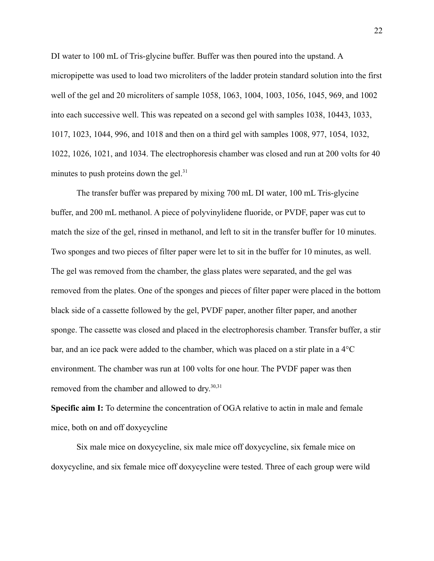DI water to 100 mL of Tris-glycine buffer. Buffer was then poured into the upstand. A micropipette was used to load two microliters of the ladder protein standard solution into the first well of the gel and 20 microliters of sample 1058, 1063, 1004, 1003, 1056, 1045, 969, and 1002 into each successive well. This was repeated on a second gel with samples 1038, 10443, 1033, 1017, 1023, 1044, 996, and 1018 and then on a third gel with samples 1008, 977, 1054, 1032, 1022, 1026, 1021, and 1034. The electrophoresis chamber was closed and run at 200 volts for 40 minutes to push proteins down the gel.<sup>31</sup>

The transfer buffer was prepared by mixing 700 mL DI water, 100 mL Tris-glycine buffer, and 200 mL methanol. A piece of polyvinylidene fluoride, or PVDF, paper was cut to match the size of the gel, rinsed in methanol, and left to sit in the transfer buffer for 10 minutes. Two sponges and two pieces of filter paper were let to sit in the buffer for 10 minutes, as well. The gel was removed from the chamber, the glass plates were separated, and the gel was removed from the plates. One of the sponges and pieces of filter paper were placed in the bottom black side of a cassette followed by the gel, PVDF paper, another filter paper, and another sponge. The cassette was closed and placed in the electrophoresis chamber. Transfer buffer, a stir bar, and an ice pack were added to the chamber, which was placed on a stir plate in a 4°C environment. The chamber was run at 100 volts for one hour. The PVDF paper was then removed from the chamber and allowed to dry.<sup>30,31</sup>

**Specific aim I:** To determine the concentration of OGA relative to actin in male and female mice, both on and off doxycycline

Six male mice on doxycycline, six male mice off doxycycline, six female mice on doxycycline, and six female mice off doxycycline were tested. Three of each group were wild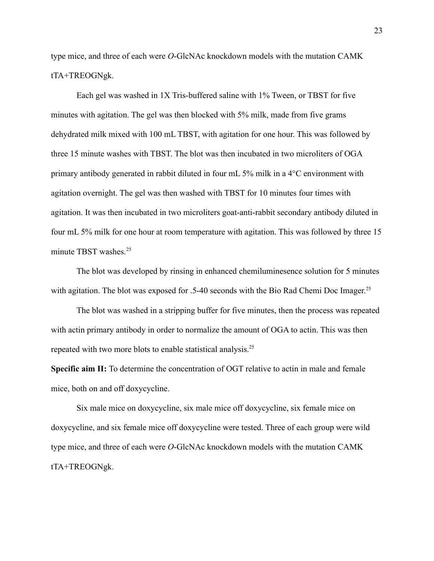type mice, and three of each were *O*-GlcNAc knockdown models with the mutation CAMK tTA+TREOGNgk.

Each gel was washed in 1X Tris-buffered saline with 1% Tween, or TBST for five minutes with agitation. The gel was then blocked with 5% milk, made from five grams dehydrated milk mixed with 100 mL TBST, with agitation for one hour. This was followed by three 15 minute washes with TBST. The blot was then incubated in two microliters of OGA primary antibody generated in rabbit diluted in four mL 5% milk in a 4°C environment with agitation overnight. The gel was then washed with TBST for 10 minutes four times with agitation. It was then incubated in two microliters goat-anti-rabbit secondary antibody diluted in four mL 5% milk for one hour at room temperature with agitation. This was followed by three 15 minute TBST washes. $25$ 

The blot was developed by rinsing in enhanced chemiluminesence solution for 5 minutes with agitation. The blot was exposed for .5-40 seconds with the Bio Rad Chemi Doc Imager.<sup>25</sup>

The blot was washed in a stripping buffer for five minutes, then the process was repeated with actin primary antibody in order to normalize the amount of OGA to actin. This was then repeated with two more blots to enable statistical analysis.<sup>25</sup>

**Specific aim II:** To determine the concentration of OGT relative to actin in male and female mice, both on and off doxycycline.

Six male mice on doxycycline, six male mice off doxycycline, six female mice on doxycycline, and six female mice off doxycycline were tested. Three of each group were wild type mice, and three of each were *O*-GlcNAc knockdown models with the mutation CAMK tTA+TREOGNgk.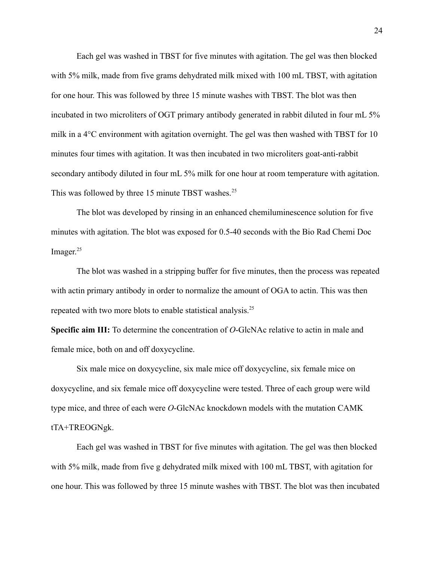Each gel was washed in TBST for five minutes with agitation. The gel was then blocked with 5% milk, made from five grams dehydrated milk mixed with 100 mL TBST, with agitation for one hour. This was followed by three 15 minute washes with TBST. The blot was then incubated in two microliters of OGT primary antibody generated in rabbit diluted in four mL 5% milk in a 4°C environment with agitation overnight. The gel was then washed with TBST for 10 minutes four times with agitation. It was then incubated in two microliters goat-anti-rabbit secondary antibody diluted in four mL 5% milk for one hour at room temperature with agitation. This was followed by three 15 minute TBST washes.<sup>25</sup>

The blot was developed by rinsing in an enhanced chemiluminescence solution for five minutes with agitation. The blot was exposed for 0.5-40 seconds with the Bio Rad Chemi Doc Imager.<sup>25</sup>

The blot was washed in a stripping buffer for five minutes, then the process was repeated with actin primary antibody in order to normalize the amount of OGA to actin. This was then repeated with two more blots to enable statistical analysis.<sup>25</sup>

**Specific aim III:** To determine the concentration of *O*-GlcNAc relative to actin in male and female mice, both on and off doxycycline.

Six male mice on doxycycline, six male mice off doxycycline, six female mice on doxycycline, and six female mice off doxycycline were tested. Three of each group were wild type mice, and three of each were *O*-GlcNAc knockdown models with the mutation CAMK tTA+TREOGNgk.

Each gel was washed in TBST for five minutes with agitation. The gel was then blocked with 5% milk, made from five g dehydrated milk mixed with 100 mL TBST, with agitation for one hour. This was followed by three 15 minute washes with TBST. The blot was then incubated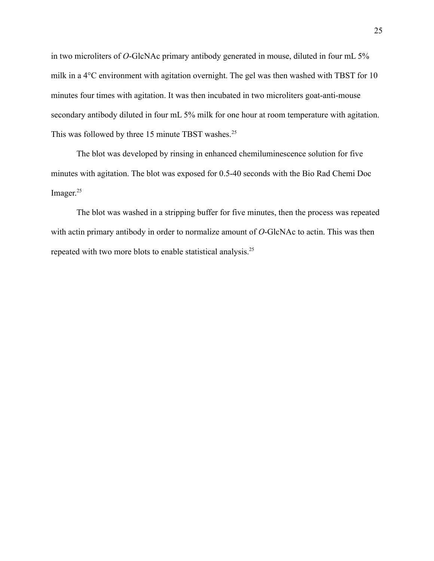in two microliters of *O*-GlcNAc primary antibody generated in mouse, diluted in four mL 5% milk in a 4°C environment with agitation overnight. The gel was then washed with TBST for 10 minutes four times with agitation. It was then incubated in two microliters goat-anti-mouse secondary antibody diluted in four mL 5% milk for one hour at room temperature with agitation. This was followed by three 15 minute TBST washes.<sup>25</sup>

The blot was developed by rinsing in enhanced chemiluminescence solution for five minutes with agitation. The blot was exposed for 0.5-40 seconds with the Bio Rad Chemi Doc Imager.<sup>25</sup>

The blot was washed in a stripping buffer for five minutes, then the process was repeated with actin primary antibody in order to normalize amount of *O*-GlcNAc to actin. This was then repeated with two more blots to enable statistical analysis.25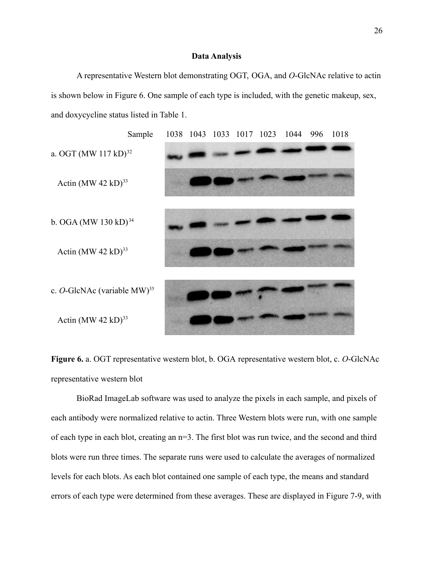#### **Data Analysis**

A representative Western blot demonstrating OGT, OGA, and *O*-GlcNAc relative to actin is shown below in Figure 6. One sample of each type is included, with the genetic makeup, sex, and doxycycline status listed in Table 1.



**Figure 6.** a. OGT representative western blot, b. OGA representative western blot, c. *O*-GlcNAc representative western blot

BioRad ImageLab software was used to analyze the pixels in each sample, and pixels of each antibody were normalized relative to actin. Three Western blots were run, with one sample of each type in each blot, creating an n=3. The first blot was run twice, and the second and third blots were run three times. The separate runs were used to calculate the averages of normalized levels for each blots. As each blot contained one sample of each type, the means and standard errors of each type were determined from these averages. These are displayed in Figure 7-9, with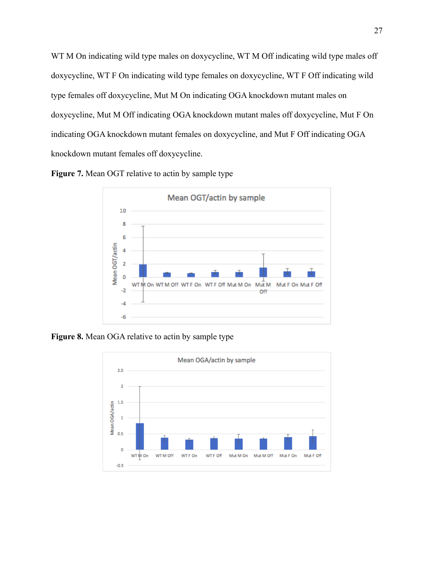WT M On indicating wild type males on doxycycline, WT M Off indicating wild type males off doxycycline, WT F On indicating wild type females on doxycycline, WT F Off indicating wild type females off doxycycline, Mut M On indicating OGA knockdown mutant males on doxycycline, Mut M Off indicating OGA knockdown mutant males off doxycycline, Mut F On indicating OGA knockdown mutant females on doxycycline, and Mut F Off indicating OGA knockdown mutant females off doxycycline.





**Figure 8.** Mean OGA relative to actin by sample type

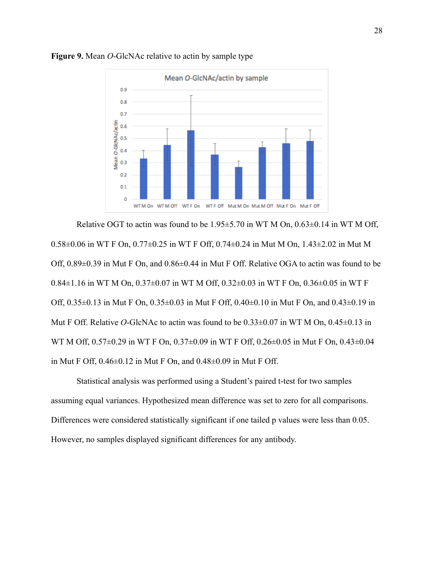

#### **Figure 9.** Mean *O*-GlcNAc relative to actin by sample type

Relative OGT to actin was found to be  $1.95\pm5.70$  in WT M On,  $0.63\pm0.14$  in WT M Off, 0.58±0.06 in WT F On, 0.77±0.25 in WT F Off, 0.74±0.24 in Mut M On, 1.43±2.02 in Mut M Off, 0.89±0.39 in Mut F On, and 0.86±0.44 in Mut F Off. Relative OGA to actin was found to be 0.84±1.16 in WT M On, 0.37±0.07 in WT M Off, 0.32±0.03 in WT F On, 0.36±0.05 in WT F Off, 0.35±0.13 in Mut F On, 0.35±0.03 in Mut F Off, 0.40±0.10 in Mut F On, and 0.43±0.19 in Mut F Off. Relative *O*-GlcNAc to actin was found to be 0.33±0.07 in WT M On, 0.45±0.13 in WT M Off, 0.57±0.29 in WT F On, 0.37±0.09 in WT F Off, 0.26±0.05 in Mut F On, 0.43±0.04 in Mut F Off, 0.46±0.12 in Mut F On, and 0.48±0.09 in Mut F Off.

Statistical analysis was performed using a Student's paired t-test for two samples assuming equal variances. Hypothesized mean difference was set to zero for all comparisons. Differences were considered statistically significant if one tailed p values were less than 0.05. However, no samples displayed significant differences for any antibody.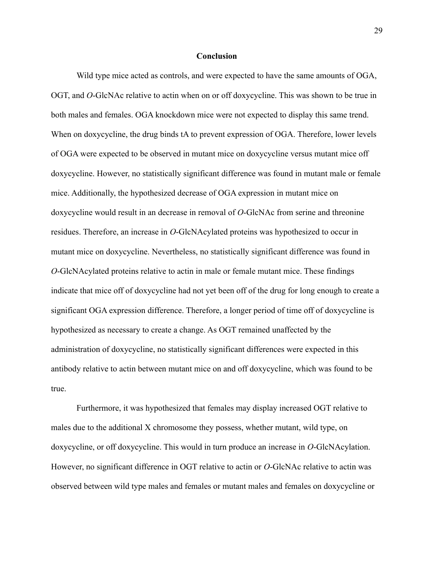#### **Conclusion**

Wild type mice acted as controls, and were expected to have the same amounts of OGA, OGT, and *O*-GlcNAc relative to actin when on or off doxycycline. This was shown to be true in both males and females. OGA knockdown mice were not expected to display this same trend. When on doxycycline, the drug binds tA to prevent expression of OGA. Therefore, lower levels of OGA were expected to be observed in mutant mice on doxycycline versus mutant mice off doxycycline. However, no statistically significant difference was found in mutant male or female mice. Additionally, the hypothesized decrease of OGA expression in mutant mice on doxycycline would result in an decrease in removal of *O*-GlcNAc from serine and threonine residues. Therefore, an increase in *O*-GlcNAcylated proteins was hypothesized to occur in mutant mice on doxycycline. Nevertheless, no statistically significant difference was found in *O*-GlcNAcylated proteins relative to actin in male or female mutant mice. These findings indicate that mice off of doxycycline had not yet been off of the drug for long enough to create a significant OGA expression difference. Therefore, a longer period of time off of doxycycline is hypothesized as necessary to create a change. As OGT remained unaffected by the administration of doxycycline, no statistically significant differences were expected in this antibody relative to actin between mutant mice on and off doxycycline, which was found to be true.

Furthermore, it was hypothesized that females may display increased OGT relative to males due to the additional X chromosome they possess, whether mutant, wild type, on doxycycline, or off doxycycline. This would in turn produce an increase in *O*-GlcNAcylation. However, no significant difference in OGT relative to actin or *O*-GlcNAc relative to actin was observed between wild type males and females or mutant males and females on doxycycline or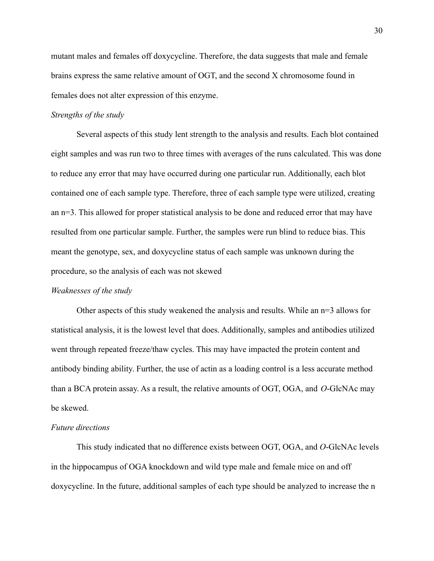mutant males and females off doxycycline. Therefore, the data suggests that male and female brains express the same relative amount of OGT, and the second X chromosome found in females does not alter expression of this enzyme.

#### *Strengths of the study*

Several aspects of this study lent strength to the analysis and results. Each blot contained eight samples and was run two to three times with averages of the runs calculated. This was done to reduce any error that may have occurred during one particular run. Additionally, each blot contained one of each sample type. Therefore, three of each sample type were utilized, creating an n=3. This allowed for proper statistical analysis to be done and reduced error that may have resulted from one particular sample. Further, the samples were run blind to reduce bias. This meant the genotype, sex, and doxycycline status of each sample was unknown during the procedure, so the analysis of each was not skewed

#### *Weaknesses of the study*

Other aspects of this study weakened the analysis and results. While an  $n=3$  allows for statistical analysis, it is the lowest level that does. Additionally, samples and antibodies utilized went through repeated freeze/thaw cycles. This may have impacted the protein content and antibody binding ability. Further, the use of actin as a loading control is a less accurate method than a BCA protein assay. As a result, the relative amounts of OGT, OGA, and *O*-GlcNAc may be skewed.

#### *Future directions*

This study indicated that no difference exists between OGT, OGA, and *O*-GlcNAc levels in the hippocampus of OGA knockdown and wild type male and female mice on and off doxycycline. In the future, additional samples of each type should be analyzed to increase the n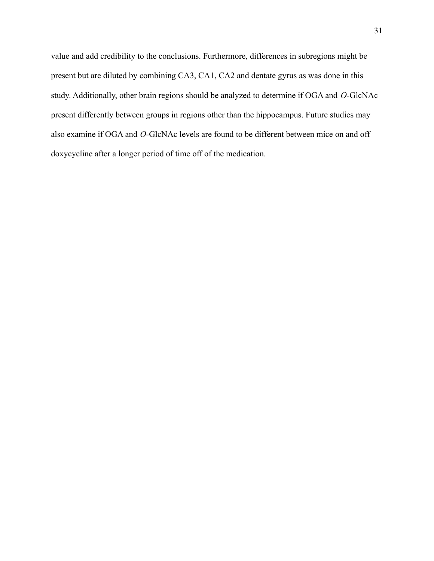value and add credibility to the conclusions. Furthermore, differences in subregions might be present but are diluted by combining CA3, CA1, CA2 and dentate gyrus as was done in this study. Additionally, other brain regions should be analyzed to determine if OGA and *O*-GlcNAc present differently between groups in regions other than the hippocampus. Future studies may also examine if OGA and *O*-GlcNAc levels are found to be different between mice on and off doxycycline after a longer period of time off of the medication.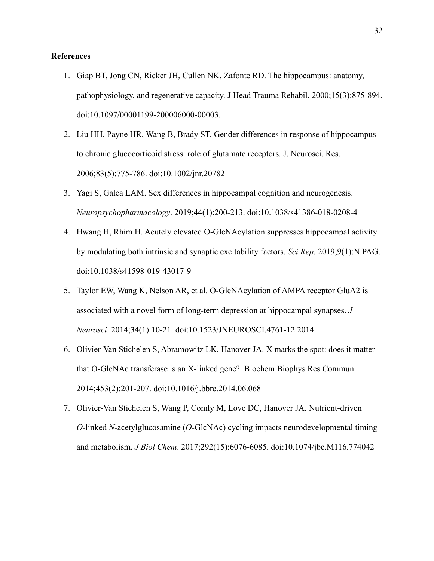#### **References**

- 1. Giap BT, Jong CN, Ricker JH, Cullen NK, Zafonte RD. The hippocampus: anatomy, pathophysiology, and regenerative capacity. J Head Trauma Rehabil. 2000;15(3):875-894. doi:10.1097/00001199-200006000-00003.
- 2. Liu HH, Payne HR, Wang B, Brady ST. Gender differences in response of hippocampus to chronic glucocorticoid stress: role of glutamate receptors. J. Neurosci. Res. 2006;83(5):775-786. doi:10.1002/jnr.20782
- 3. Yagi S, Galea LAM. Sex differences in hippocampal cognition and neurogenesis. *Neuropsychopharmacology*. 2019;44(1):200-213. doi:10.1038/s41386-018-0208-4
- 4. Hwang H, Rhim H. Acutely elevated O-GlcNAcylation suppresses hippocampal activity by modulating both intrinsic and synaptic excitability factors. *Sci Rep*. 2019;9(1):N.PAG. doi:10.1038/s41598-019-43017-9
- 5. Taylor EW, Wang K, Nelson AR, et al. O-GlcNAcylation of AMPA receptor GluA2 is associated with a novel form of long-term depression at hippocampal synapses. *J Neurosci*. 2014;34(1):10-21. doi:10.1523/JNEUROSCI.4761-12.2014
- 6. Olivier-Van Stichelen S, Abramowitz LK, Hanover JA. X marks the spot: does it matter that O-GlcNAc transferase is an X-linked gene?. Biochem Biophys Res Commun. 2014;453(2):201-207. doi:10.1016/j.bbrc.2014.06.068
- 7. Olivier-Van Stichelen S, Wang P, Comly M, Love DC, Hanover JA. Nutrient-driven *O*-linked *N*-acetylglucosamine (*O*-GlcNAc) cycling impacts neurodevelopmental timing and metabolism. *J Biol Chem*. 2017;292(15):6076-6085. doi:10.1074/jbc.M116.774042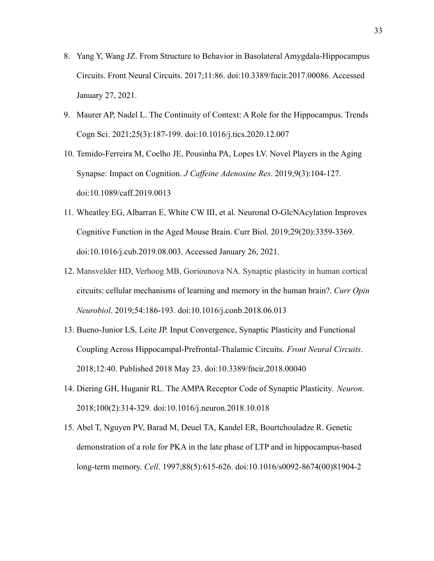- 8. Yang Y, Wang JZ. From Structure to Behavior in Basolateral Amygdala-Hippocampus Circuits. Front Neural Circuits. 2017;11:86. doi:10.3389/fncir.2017.00086. Accessed January 27, 2021.
- 9. Maurer AP, Nadel L. The Continuity of Context: A Role for the Hippocampus. Trends Cogn Sci. 2021;25(3):187-199. doi:10.1016/j.tics.2020.12.007
- 10. Temido-Ferreira M, Coelho JE, Pousinha PA, Lopes LV. Novel Players in the Aging Synapse: Impact on Cognition. *J Caffeine Adenosine Res*. 2019;9(3):104-127. doi:10.1089/caff.2019.0013
- 11. Wheatley EG, Albarran E, White CW III, et al. Neuronal O-GlcNAcylation Improves Cognitive Function in the Aged Mouse Brain. Curr Biol. 2019;29(20):3359-3369. doi:10.1016/j.cub.2019.08.003. Accessed January 26, 2021.
- 12. Mansvelder HD, Verhoog MB, Goriounova NA. Synaptic plasticity in human cortical circuits: cellular mechanisms of learning and memory in the human brain?. *Curr Opin Neurobiol*. 2019;54:186-193. doi:10.1016/j.conb.2018.06.013
- 13. Bueno-Junior LS, Leite JP. Input Convergence, Synaptic Plasticity and Functional Coupling Across Hippocampal-Prefrontal-Thalamic Circuits. *Front Neural Circuits*. 2018;12:40. Published 2018 May 23. doi:10.3389/fncir.2018.00040
- 14. Diering GH, Huganir RL. The AMPA Receptor Code of Synaptic Plasticity. *Neuron*. 2018;100(2):314-329. doi:10.1016/j.neuron.2018.10.018
- 15. Abel T, Nguyen PV, Barad M, Deuel TA, Kandel ER, Bourtchouladze R. Genetic demonstration of a role for PKA in the late phase of LTP and in hippocampus-based long-term memory. *Cell*. 1997;88(5):615-626. doi:10.1016/s0092-8674(00)81904-2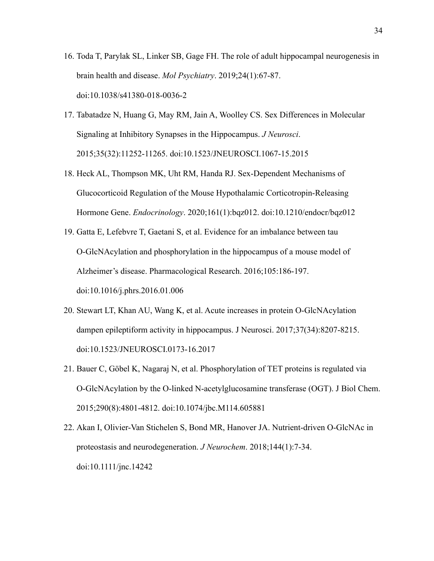- 16. Toda T, Parylak SL, Linker SB, Gage FH. The role of adult hippocampal neurogenesis in brain health and disease. *Mol Psychiatry*. 2019;24(1):67-87. doi:10.1038/s41380-018-0036-2
- 17. Tabatadze N, Huang G, May RM, Jain A, Woolley CS. Sex Differences in Molecular Signaling at Inhibitory Synapses in the Hippocampus. *J Neurosci*. 2015;35(32):11252-11265. doi:10.1523/JNEUROSCI.1067-15.2015
- 18. Heck AL, Thompson MK, Uht RM, Handa RJ. Sex-Dependent Mechanisms of Glucocorticoid Regulation of the Mouse Hypothalamic Corticotropin-Releasing Hormone Gene. *Endocrinology*. 2020;161(1):bqz012. doi:10.1210/endocr/bqz012
- 19. Gatta E, Lefebvre T, Gaetani S, et al. Evidence for an imbalance between tau O-GlcNAcylation and phosphorylation in the hippocampus of a mouse model of Alzheimer's disease. Pharmacological Research. 2016;105:186-197. doi:10.1016/j.phrs.2016.01.006
- 20. Stewart LT, Khan AU, Wang K, et al. Acute increases in protein O-GlcNAcylation dampen epileptiform activity in hippocampus. J Neurosci. 2017;37(34):8207-8215. doi:10.1523/JNEUROSCI.0173-16.2017
- 21. Bauer C, Göbel K, Nagaraj N, et al. Phosphorylation of TET proteins is regulated via O-GlcNAcylation by the O-linked N-acetylglucosamine transferase (OGT). J Biol Chem. 2015;290(8):4801-4812. doi:10.1074/jbc.M114.605881
- 22. Akan I, Olivier-Van Stichelen S, Bond MR, Hanover JA. Nutrient-driven O-GlcNAc in proteostasis and neurodegeneration. *J Neurochem*. 2018;144(1):7-34. doi:10.1111/jnc.14242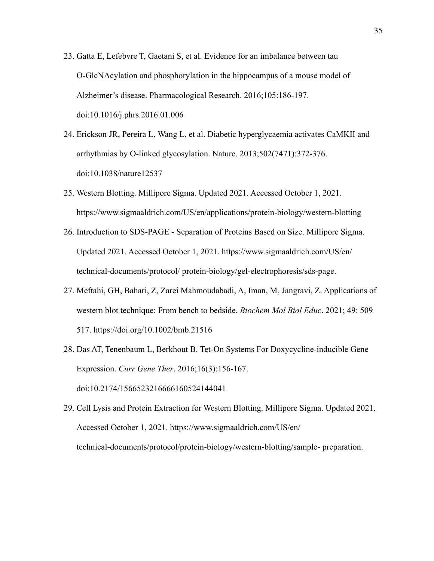- 23. Gatta E, Lefebvre T, Gaetani S, et al. Evidence for an imbalance between tau O-GlcNAcylation and phosphorylation in the hippocampus of a mouse model of Alzheimer's disease. Pharmacological Research. 2016;105:186-197. doi:10.1016/j.phrs.2016.01.006
- 24. Erickson JR, Pereira L, Wang L, et al. Diabetic hyperglycaemia activates CaMKII and arrhythmias by O-linked glycosylation. Nature. 2013;502(7471):372-376. doi:10.1038/nature12537
- 25. Western Blotting. Millipore Sigma. Updated 2021. Accessed October 1, 2021. https://www.sigmaaldrich.com/US/en/applications/protein-biology/western-blotting
- 26. Introduction to SDS-PAGE Separation of Proteins Based on Size. Millipore Sigma. Updated 2021. Accessed October 1, 2021. https://www.sigmaaldrich.com/US/en/ technical-documents/protocol/ protein-biology/gel-electrophoresis/sds-page.
- 27. Meftahi, GH, Bahari, Z, Zarei Mahmoudabadi, A, Iman, M, Jangravi, Z. Applications of western blot technique: From bench to bedside. *Biochem Mol Biol Educ*. 2021; 49: 509– 517. <https://doi.org/10.1002/bmb.21516>
- 28. Das AT, Tenenbaum L, Berkhout B. Tet-On Systems For Doxycycline-inducible Gene Expression. *Curr Gene Ther*. 2016;16(3):156-167. doi:10.2174/1566523216666160524144041
- 29. Cell Lysis and Protein Extraction for Western Blotting. Millipore Sigma. Updated 2021. Accessed October 1, 2021. https://www.sigmaaldrich.com/US/en/ technical-documents/protocol/protein-biology/western-blotting/sample- preparation.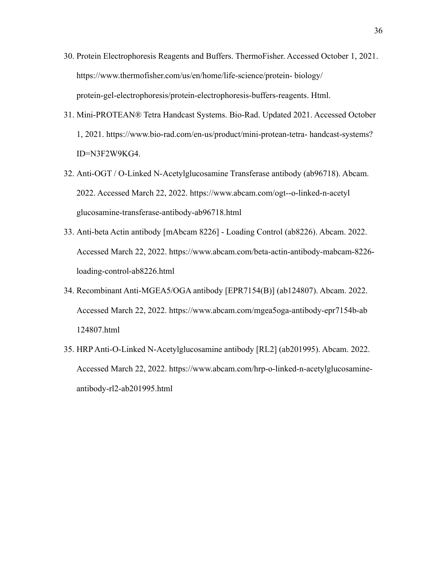- 30. Protein Electrophoresis Reagents and Buffers. ThermoFisher. Accessed October 1, 2021. [https://www.thermofisher.com/us/en/home/life-science/protein- biology/](https://www.thermofisher.com/us/en/home/life-science/protein-biology/protein-gel-electrophoresis/protein-electrophoresis-buffers-reagents.html) [protein-gel-electrophoresis/protein-electrophoresis-buffers-reagents. Html.](https://www.thermofisher.com/us/en/home/life-science/protein-biology/protein-gel-electrophoresis/protein-electrophoresis-buffers-reagents.html)
- 31. Mini-PROTEAN® Tetra Handcast Systems. Bio-Rad. Updated 2021. Accessed October 1, 2021. https://www.bio-rad.com/en-us/product/mini-protean-tetra- handcast-systems? ID=N3F2W9KG4.
- 32. Anti-OGT / O-Linked N-Acetylglucosamine Transferase antibody (ab96718). Abcam. 2022. Accessed March 22, 2022. https://www.abcam.com/ogt--o-linked-n-acetyl glucosamine-transferase-antibody-ab96718.html
- 33. Anti-beta Actin antibody [mAbcam 8226] Loading Control (ab8226). Abcam. 2022. Accessed March 22, 2022. https://www.abcam.com/beta-actin-antibody-mabcam-8226 loading-control-ab8226.html
- 34. Recombinant Anti-MGEA5/OGA antibody [EPR7154(B)] (ab124807). Abcam. 2022. Accessed March 22, 2022. https://www.abcam.com/mgea5oga-antibody-epr7154b-ab 124807.html
- 35. HRP Anti-O-Linked N-Acetylglucosamine antibody [RL2] (ab201995). Abcam. 2022. Accessed March 22, 2022. https://www.abcam.com/hrp-o-linked-n-acetylglucosamineantibody-rl2-ab201995.html